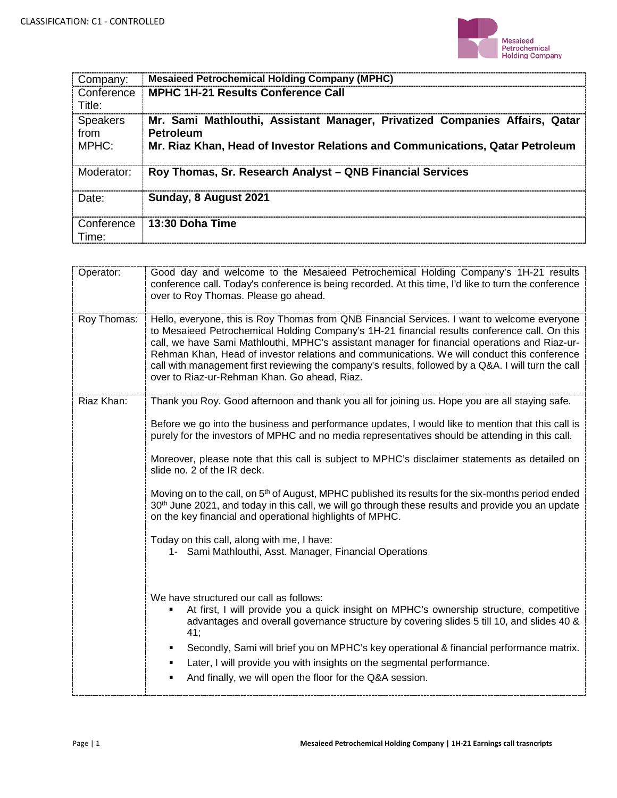

| Company:                         | <b>Mesaieed Petrochemical Holding Company (MPHC)</b>                                                                                                                             |
|----------------------------------|----------------------------------------------------------------------------------------------------------------------------------------------------------------------------------|
| Conference<br>Title:             | <b>MPHC 1H-21 Results Conference Call</b>                                                                                                                                        |
| <b>Speakers</b><br>from<br>MPHC: | Mr. Sami Mathlouthi, Assistant Manager, Privatized Companies Affairs, Qatar<br><b>Petroleum</b><br>Mr. Riaz Khan, Head of Investor Relations and Communications, Qatar Petroleum |
| Moderator:                       | Roy Thomas, Sr. Research Analyst - QNB Financial Services                                                                                                                        |
| Date:                            | Sunday, 8 August 2021                                                                                                                                                            |
| Conference<br>Time:              | 13:30 Doha Time                                                                                                                                                                  |

| Good day and welcome to the Mesaieed Petrochemical Holding Company's 1H-21 results<br>conference call. Today's conference is being recorded. At this time, I'd like to turn the conference<br>over to Roy Thomas. Please go ahead.                                                                                                                                                                                                                                                                                                                 |
|----------------------------------------------------------------------------------------------------------------------------------------------------------------------------------------------------------------------------------------------------------------------------------------------------------------------------------------------------------------------------------------------------------------------------------------------------------------------------------------------------------------------------------------------------|
| Hello, everyone, this is Roy Thomas from QNB Financial Services. I want to welcome everyone<br>to Mesaieed Petrochemical Holding Company's 1H-21 financial results conference call. On this<br>call, we have Sami Mathlouthi, MPHC's assistant manager for financial operations and Riaz-ur-<br>Rehman Khan, Head of investor relations and communications. We will conduct this conference<br>call with management first reviewing the company's results, followed by a Q&A. I will turn the call<br>over to Riaz-ur-Rehman Khan. Go ahead, Riaz. |
| Thank you Roy. Good afternoon and thank you all for joining us. Hope you are all staying safe.                                                                                                                                                                                                                                                                                                                                                                                                                                                     |
| Before we go into the business and performance updates, I would like to mention that this call is<br>purely for the investors of MPHC and no media representatives should be attending in this call.                                                                                                                                                                                                                                                                                                                                               |
| Moreover, please note that this call is subject to MPHC's disclaimer statements as detailed on<br>slide no. 2 of the IR deck.                                                                                                                                                                                                                                                                                                                                                                                                                      |
| Moving on to the call, on 5 <sup>th</sup> of August, MPHC published its results for the six-months period ended<br>30 <sup>th</sup> June 2021, and today in this call, we will go through these results and provide you an update<br>on the key financial and operational highlights of MPHC.                                                                                                                                                                                                                                                      |
| Today on this call, along with me, I have:<br>1- Sami Mathlouthi, Asst. Manager, Financial Operations                                                                                                                                                                                                                                                                                                                                                                                                                                              |
| We have structured our call as follows:<br>At first, I will provide you a quick insight on MPHC's ownership structure, competitive<br>٠<br>advantages and overall governance structure by covering slides 5 till 10, and slides 40 &<br>41;<br>Secondly, Sami will brief you on MPHC's key operational & financial performance matrix.<br>٠<br>Later, I will provide you with insights on the segmental performance.<br>٠<br>And finally, we will open the floor for the Q&A session.<br>٠                                                         |
|                                                                                                                                                                                                                                                                                                                                                                                                                                                                                                                                                    |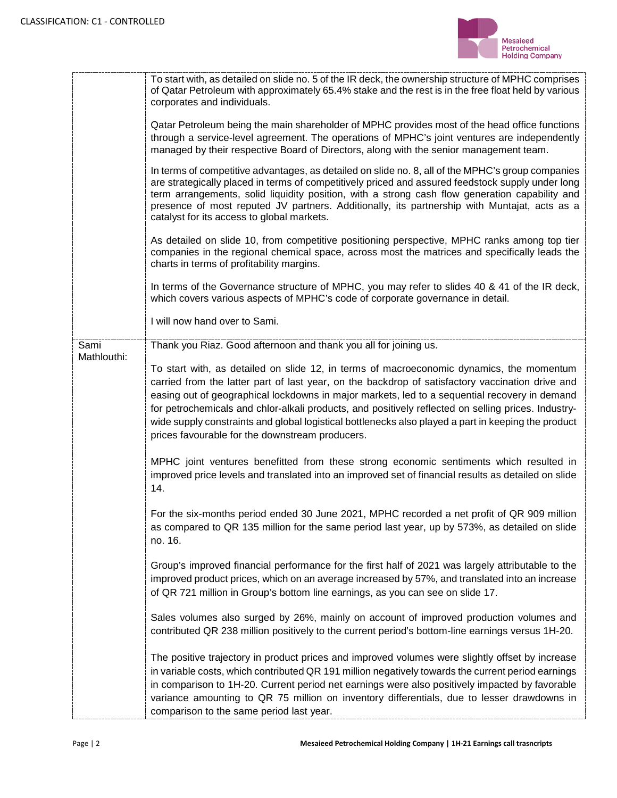

|             | To start with, as detailed on slide no. 5 of the IR deck, the ownership structure of MPHC comprises<br>of Qatar Petroleum with approximately 65.4% stake and the rest is in the free float held by various<br>corporates and individuals.                                                                                                                                                                                                                                                                                                                      |
|-------------|----------------------------------------------------------------------------------------------------------------------------------------------------------------------------------------------------------------------------------------------------------------------------------------------------------------------------------------------------------------------------------------------------------------------------------------------------------------------------------------------------------------------------------------------------------------|
|             | Qatar Petroleum being the main shareholder of MPHC provides most of the head office functions<br>through a service-level agreement. The operations of MPHC's joint ventures are independently<br>managed by their respective Board of Directors, along with the senior management team.                                                                                                                                                                                                                                                                        |
|             | In terms of competitive advantages, as detailed on slide no. 8, all of the MPHC's group companies<br>are strategically placed in terms of competitively priced and assured feedstock supply under long<br>term arrangements, solid liquidity position, with a strong cash flow generation capability and<br>presence of most reputed JV partners. Additionally, its partnership with Muntajat, acts as a<br>catalyst for its access to global markets.                                                                                                         |
|             | As detailed on slide 10, from competitive positioning perspective, MPHC ranks among top tier<br>companies in the regional chemical space, across most the matrices and specifically leads the<br>charts in terms of profitability margins.                                                                                                                                                                                                                                                                                                                     |
|             | In terms of the Governance structure of MPHC, you may refer to slides 40 & 41 of the IR deck,<br>which covers various aspects of MPHC's code of corporate governance in detail.                                                                                                                                                                                                                                                                                                                                                                                |
|             | I will now hand over to Sami.                                                                                                                                                                                                                                                                                                                                                                                                                                                                                                                                  |
| Sami        | Thank you Riaz. Good afternoon and thank you all for joining us.                                                                                                                                                                                                                                                                                                                                                                                                                                                                                               |
| Mathlouthi: | To start with, as detailed on slide 12, in terms of macroeconomic dynamics, the momentum<br>carried from the latter part of last year, on the backdrop of satisfactory vaccination drive and<br>easing out of geographical lockdowns in major markets, led to a sequential recovery in demand<br>for petrochemicals and chlor-alkali products, and positively reflected on selling prices. Industry-<br>wide supply constraints and global logistical bottlenecks also played a part in keeping the product<br>prices favourable for the downstream producers. |
|             | MPHC joint ventures benefitted from these strong economic sentiments which resulted in<br>improved price levels and translated into an improved set of financial results as detailed on slide<br>14.                                                                                                                                                                                                                                                                                                                                                           |
|             | For the six-months period ended 30 June 2021, MPHC recorded a net profit of QR 909 million<br>as compared to QR 135 million for the same period last year, up by 573%, as detailed on slide<br>no. 16.                                                                                                                                                                                                                                                                                                                                                         |
|             | Group's improved financial performance for the first half of 2021 was largely attributable to the<br>improved product prices, which on an average increased by 57%, and translated into an increase<br>of QR 721 million in Group's bottom line earnings, as you can see on slide 17.                                                                                                                                                                                                                                                                          |
|             | Sales volumes also surged by 26%, mainly on account of improved production volumes and<br>contributed QR 238 million positively to the current period's bottom-line earnings versus 1H-20.                                                                                                                                                                                                                                                                                                                                                                     |
|             | The positive trajectory in product prices and improved volumes were slightly offset by increase<br>in variable costs, which contributed QR 191 million negatively towards the current period earnings<br>in comparison to 1H-20. Current period net earnings were also positively impacted by favorable<br>variance amounting to QR 75 million on inventory differentials, due to lesser drawdowns in<br>comparison to the same period last year.                                                                                                              |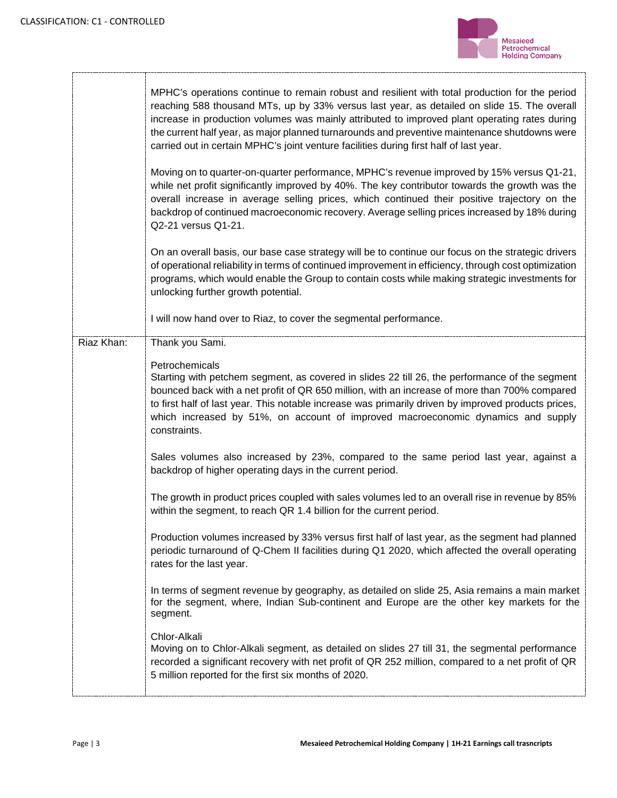Т



|            | MPHC's operations continue to remain robust and resilient with total production for the period<br>reaching 588 thousand MTs, up by 33% versus last year, as detailed on slide 15. The overall<br>increase in production volumes was mainly attributed to improved plant operating rates during<br>the current half year, as major planned turnarounds and preventive maintenance shutdowns were<br>carried out in certain MPHC's joint venture facilities during first half of last year. |
|------------|-------------------------------------------------------------------------------------------------------------------------------------------------------------------------------------------------------------------------------------------------------------------------------------------------------------------------------------------------------------------------------------------------------------------------------------------------------------------------------------------|
|            | Moving on to quarter-on-quarter performance, MPHC's revenue improved by 15% versus Q1-21,<br>while net profit significantly improved by 40%. The key contributor towards the growth was the<br>overall increase in average selling prices, which continued their positive trajectory on the<br>backdrop of continued macroeconomic recovery. Average selling prices increased by 18% during<br>Q2-21 versus Q1-21.                                                                        |
|            | On an overall basis, our base case strategy will be to continue our focus on the strategic drivers<br>of operational reliability in terms of continued improvement in efficiency, through cost optimization<br>programs, which would enable the Group to contain costs while making strategic investments for<br>unlocking further growth potential.                                                                                                                                      |
|            | I will now hand over to Riaz, to cover the segmental performance.                                                                                                                                                                                                                                                                                                                                                                                                                         |
| Riaz Khan: | Thank you Sami.                                                                                                                                                                                                                                                                                                                                                                                                                                                                           |
|            | Petrochemicals<br>Starting with petchem segment, as covered in slides 22 till 26, the performance of the segment<br>bounced back with a net profit of QR 650 million, with an increase of more than 700% compared<br>to first half of last year. This notable increase was primarily driven by improved products prices,<br>which increased by 51%, on account of improved macroeconomic dynamics and supply<br>constraints.                                                              |
|            | Sales volumes also increased by 23%, compared to the same period last year, against a<br>backdrop of higher operating days in the current period.                                                                                                                                                                                                                                                                                                                                         |
|            | The growth in product prices coupled with sales volumes led to an overall rise in revenue by 85%<br>within the segment, to reach QR 1.4 billion for the current period.                                                                                                                                                                                                                                                                                                                   |
|            | Production volumes increased by 33% versus first half of last year, as the segment had planned<br>periodic turnaround of Q-Chem II facilities during Q1 2020, which affected the overall operating<br>rates for the last year.                                                                                                                                                                                                                                                            |
|            | In terms of segment revenue by geography, as detailed on slide 25, Asia remains a main market<br>for the segment, where, Indian Sub-continent and Europe are the other key markets for the<br>segment.                                                                                                                                                                                                                                                                                    |
|            | Chlor-Alkali<br>Moving on to Chlor-Alkali segment, as detailed on slides 27 till 31, the segmental performance<br>recorded a significant recovery with net profit of QR 252 million, compared to a net profit of QR<br>5 million reported for the first six months of 2020.                                                                                                                                                                                                               |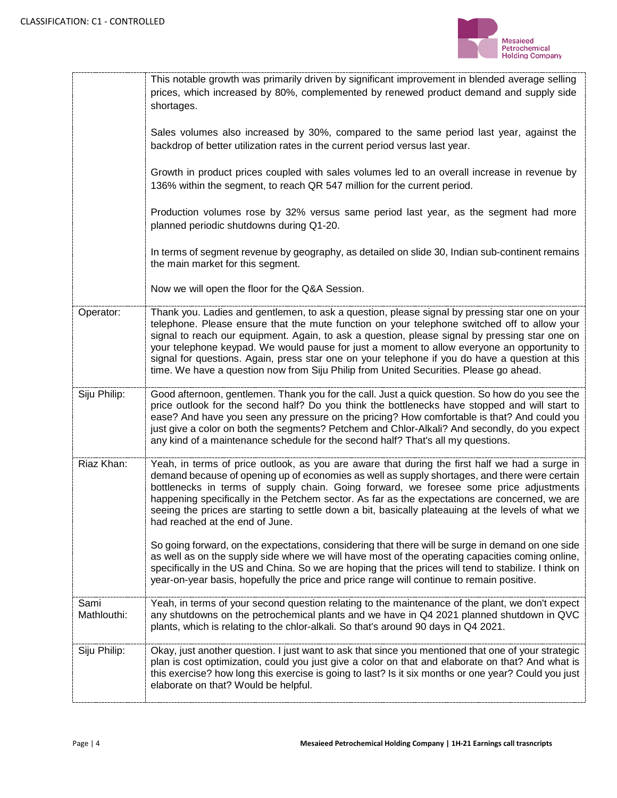

|                     | This notable growth was primarily driven by significant improvement in blended average selling<br>prices, which increased by 80%, complemented by renewed product demand and supply side<br>shortages.<br>Sales volumes also increased by 30%, compared to the same period last year, against the<br>backdrop of better utilization rates in the current period versus last year.<br>Growth in product prices coupled with sales volumes led to an overall increase in revenue by<br>136% within the segment, to reach QR 547 million for the current period.<br>Production volumes rose by 32% versus same period last year, as the segment had more<br>planned periodic shutdowns during Q1-20.<br>In terms of segment revenue by geography, as detailed on slide 30, Indian sub-continent remains<br>the main market for this segment.<br>Now we will open the floor for the Q&A Session.                                                        |
|---------------------|-----------------------------------------------------------------------------------------------------------------------------------------------------------------------------------------------------------------------------------------------------------------------------------------------------------------------------------------------------------------------------------------------------------------------------------------------------------------------------------------------------------------------------------------------------------------------------------------------------------------------------------------------------------------------------------------------------------------------------------------------------------------------------------------------------------------------------------------------------------------------------------------------------------------------------------------------------|
| Operator:           | Thank you. Ladies and gentlemen, to ask a question, please signal by pressing star one on your<br>telephone. Please ensure that the mute function on your telephone switched off to allow your<br>signal to reach our equipment. Again, to ask a question, please signal by pressing star one on<br>your telephone keypad. We would pause for just a moment to allow everyone an opportunity to<br>signal for questions. Again, press star one on your telephone if you do have a question at this<br>time. We have a question now from Siju Philip from United Securities. Please go ahead.                                                                                                                                                                                                                                                                                                                                                        |
| Siju Philip:        | Good afternoon, gentlemen. Thank you for the call. Just a quick question. So how do you see the<br>price outlook for the second half? Do you think the bottlenecks have stopped and will start to<br>ease? And have you seen any pressure on the pricing? How comfortable is that? And could you<br>just give a color on both the segments? Petchem and Chlor-Alkali? And secondly, do you expect<br>any kind of a maintenance schedule for the second half? That's all my questions.                                                                                                                                                                                                                                                                                                                                                                                                                                                               |
| Riaz Khan:          | Yeah, in terms of price outlook, as you are aware that during the first half we had a surge in<br>demand because of opening up of economies as well as supply shortages, and there were certain<br>bottlenecks in terms of supply chain. Going forward, we foresee some price adjustments<br>happening specifically in the Petchem sector. As far as the expectations are concerned, we are<br>seeing the prices are starting to settle down a bit, basically plateauing at the levels of what we<br>had reached at the end of June.<br>So going forward, on the expectations, considering that there will be surge in demand on one side<br>as well as on the supply side where we will have most of the operating capacities coming online,<br>specifically in the US and China. So we are hoping that the prices will tend to stabilize. I think on<br>year-on-year basis, hopefully the price and price range will continue to remain positive. |
| Sami<br>Mathlouthi: | Yeah, in terms of your second question relating to the maintenance of the plant, we don't expect<br>any shutdowns on the petrochemical plants and we have in Q4 2021 planned shutdown in QVC<br>plants, which is relating to the chlor-alkali. So that's around 90 days in Q4 2021.                                                                                                                                                                                                                                                                                                                                                                                                                                                                                                                                                                                                                                                                 |
| Siju Philip:        | Okay, just another question. I just want to ask that since you mentioned that one of your strategic<br>plan is cost optimization, could you just give a color on that and elaborate on that? And what is<br>this exercise? how long this exercise is going to last? Is it six months or one year? Could you just<br>elaborate on that? Would be helpful.                                                                                                                                                                                                                                                                                                                                                                                                                                                                                                                                                                                            |